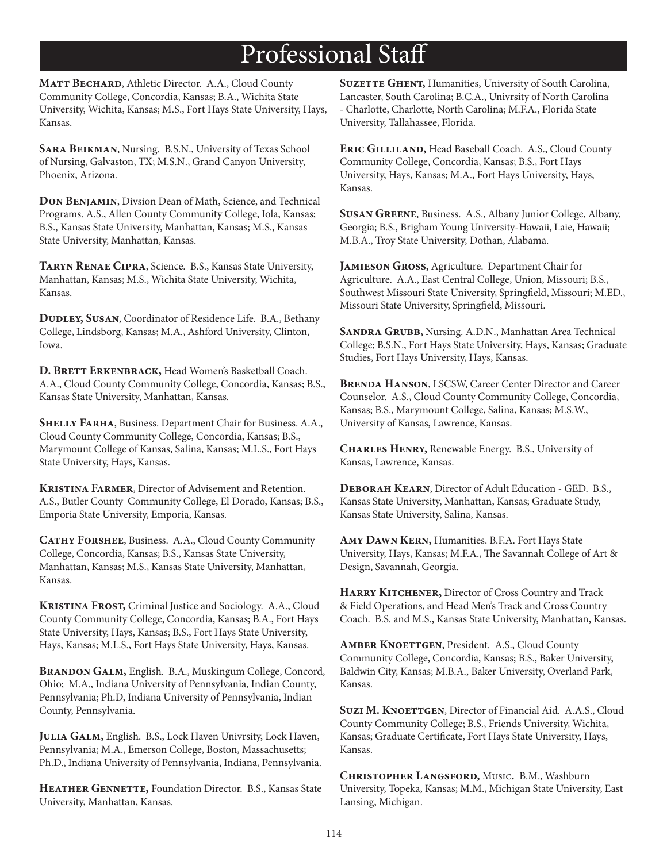#### **Professional Staff**

MATT BECHARD, Athletic Director. A.A., Cloud County Community College, Concordia, Kansas; B.A., Wichita State University, Wichita, Kansas; M.S., Fort Hays State University, Hays, Kansas.

SARA BEIKMAN, Nursing. B.S.N., University of Texas School of Nursing, Galvaston, TX; M.S.N., Grand Canyon University, Phoenix, Arizona.

DON BENJAMIN, Divsion Dean of Math, Science, and Technical Programs. A.S., Allen County Community College, Iola, Kansas; B.S., Kansas State University, Manhattan, Kansas; M.S., Kansas State University, Manhattan, Kansas.

TARYN RENAE CIPRA, Science. B.S., Kansas State University, Manhattan, Kansas; M.S., Wichita State University, Wichita, Kansas.

DUDLEY, SUSAN, Coordinator of Residence Life. B.A., Bethany College, Lindsborg, Kansas; M.A., Ashford University, Clinton, Iowa.

D. BRETT ERKENBRACK, Head Women's Basketball Coach. A.A., Cloud County Community College, Concordia, Kansas; B.S., Kansas State University, Manhattan, Kansas.

SHELLY FARHA, Business. Department Chair for Business. A.A., Cloud County Community College, Concordia, Kansas; B.S., Marymount College of Kansas, Salina, Kansas; M.L.S., Fort Hays State University, Hays, Kansas.

**KRISTINA FARMER, Director of Advisement and Retention.** A.S., Butler County Community College, El Dorado, Kansas; B.S., Emporia State University, Emporia, Kansas.

CATHY FORSHEE, Business. A.A., Cloud County Community College, Concordia, Kansas; B.S., Kansas State University, Manhattan, Kansas; M.S., Kansas State University, Manhattan, Kansas.

KRISTINA FROST, Criminal Justice and Sociology. A.A., Cloud County Community College, Concordia, Kansas; B.A., Fort Hays State University, Hays, Kansas; B.S., Fort Hays State University, Hays, Kansas; M.L.S., Fort Hays State University, Hays, Kansas.

BRANDON GALM, English. B.A., Muskingum College, Concord, Ohio; M.A., Indiana University of Pennsylvania, Indian County, Pennsylvania; Ph.D, Indiana University of Pennsylvania, Indian County, Pennsylvania.

JULIA GALM, English. B.S., Lock Haven Univrsity, Lock Haven, Pennsylvania; M.A., Emerson College, Boston, Massachusetts; Ph.D., Indiana University of Pennsylvania, Indiana, Pennsylvania.

HEATHER GENNETTE, Foundation Director. B.S., Kansas State University, Manhattan, Kansas.

SUZETTE GHENT, Humanities, University of South Carolina, Lancaster, South Carolina; B.C.A., Univrsity of North Carolina - Charlotte, Charlotte, North Carolina; M.F.A., Florida State University, Tallahassee, Florida.

ERIC GILLILAND, Head Baseball Coach. A.S., Cloud County Community College, Concordia, Kansas; B.S., Fort Hays University, Hays, Kansas; M.A., Fort Hays University, Hays, Kansas.

SUSAN GREENE, Business. A.S., Albany Junior College, Albany, Georgia; B.S., Brigham Young University-Hawaii, Laie, Hawaii; M.B.A., Troy State University, Dothan, Alabama.

**JAMIESON GROSS, Agriculture. Department Chair for** Agriculture. A.A., East Central College, Union, Missouri; B.S., Southwest Missouri State University, Springfield, Missouri; M.ED., Missouri State University, Springfield, Missouri.

SANDRA GRUBB, Nursing. A.D.N., Manhattan Area Technical College; B.S.N., Fort Hays State University, Hays, Kansas; Graduate Studies, Fort Hays University, Hays, Kansas.

**BRENDA HANSON, LSCSW, Career Center Director and Career** Counselor. A.S., Cloud County Community College, Concordia, Kansas; B.S., Marymount College, Salina, Kansas; M.S.W., University of Kansas, Lawrence, Kansas.

**CHARLES HENRY, Renewable Energy. B.S., University of** Kansas, Lawrence, Kansas.

DEBORAH KEARN, Director of Adult Education - GED. B.S., Kansas State University, Manhattan, Kansas; Graduate Study, Kansas State University, Salina, Kansas.

AMY DAWN KERN, Humanities. B.F.A. Fort Hays State University, Hays, Kansas; M.F.A., The Savannah College of Art & Design, Savannah, Georgia.

HARRY KITCHENER, Director of Cross Country and Track & Field Operations, and Head Men's Track and Cross Country Coach. B.S. and M.S., Kansas State University, Manhattan, Kansas.

AMBER KNOETTGEN, President. A.S., Cloud County Community College, Concordia, Kansas; B.S., Baker University, Baldwin City, Kansas; M.B.A., Baker University, Overland Park, Kansas.

SUZI M. KNOETTGEN, Director of Financial Aid. A.A.S., Cloud County Community College; B.S., Friends University, Wichita, Kansas; Graduate Certificate, Fort Hays State University, Hays, Kansas.

CHRISTOPHER LANGSFORD, MUSIC. B.M., Washburn University, Topeka, Kansas; M.M., Michigan State University, East Lansing, Michigan.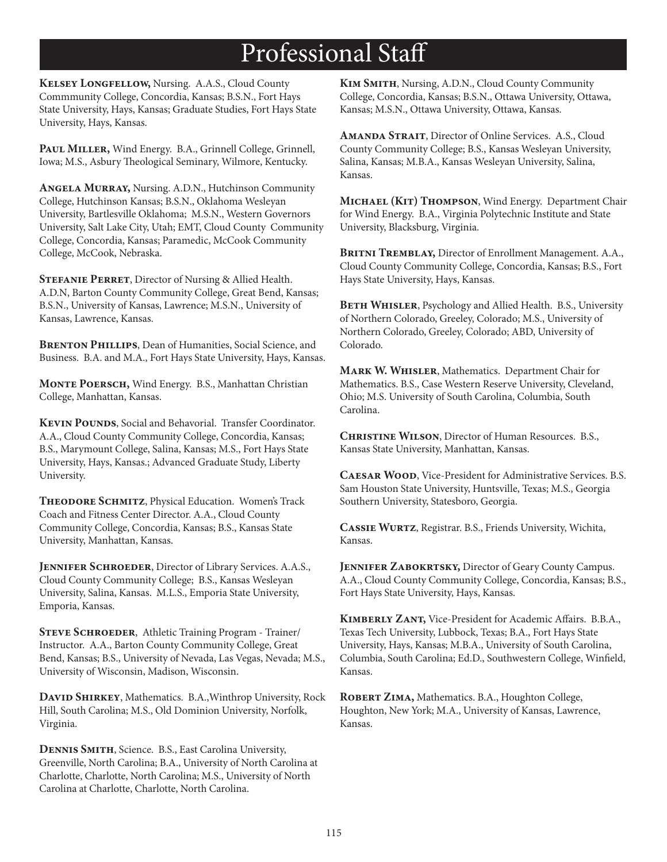#### **Professional Staff**

KELSEY LONGFELLOW, Nursing. A.A.S., Cloud County Commmunity College, Concordia, Kansas; B.S.N., Fort Hays State University, Hays, Kansas; Graduate Studies, Fort Hays State University, Hays, Kansas.

PAUL MILLER, Wind Energy. B.A., Grinnell College, Grinnell, Iowa; M.S., Asbury Theological Seminary, Wilmore, Kentucky.

ANGELA MURRAY, Nursing. A.D.N., Hutchinson Community College, Hutchinson Kansas; B.S.N., Oklahoma Wesleyan University, Bartlesville Oklahoma; M.S.N., Western Governors University, Salt Lake City, Utah; EMT, Cloud County Community College, Concordia, Kansas; Paramedic, McCook Community College, McCook, Nebraska.

**STEFANIE PERRET, Director of Nursing & Allied Health.** A.D.N, Barton County Community College, Great Bend, Kansas; B.S.N., University of Kansas, Lawrence; M.S.N., University of Kansas, Lawrence, Kansas.

**BRENTON PHILLIPS, Dean of Humanities, Social Science, and** Business. B.A. and M.A., Fort Hays State University, Hays, Kansas.

MONTE POERSCH, Wind Energy. B.S., Manhattan Christian College, Manhattan, Kansas.

KEVIN POUNDS, Social and Behavorial. Transfer Coordinator. A.A., Cloud County Community College, Concordia, Kansas; B.S., Marymount College, Salina, Kansas; M.S., Fort Hays State University, Hays, Kansas.; Advanced Graduate Study, Liberty University.

THEODORE SCHMITZ, Physical Education. Women's Track Coach and Fitness Center Director. A.A., Cloud County Community College, Concordia, Kansas; B.S., Kansas State University, Manhattan, Kansas.

JENNIFER SCHROEDER, Director of Library Services. A.A.S., Cloud County Community College; B.S., Kansas Wesleyan University, Salina, Kansas. M.L.S., Emporia State University, Emporia, Kansas.

STEVE SCHROEDER, Athletic Training Program - Trainer/ Instructor. A.A., Barton County Community College, Great Bend, Kansas; B.S., University of Nevada, Las Vegas, Nevada; M.S., University of Wisconsin, Madison, Wisconsin.

DAVID SHIRKEY, Mathematics. B.A., Winthrop University, Rock Hill, South Carolina; M.S., Old Dominion University, Norfolk, Virginia.

**DENNIS SMITH, Science. B.S., East Carolina University,** Greenville, North Carolina; B.A., University of North Carolina at Charlotte, Charlotte, North Carolina; M.S., University of North Carolina at Charlotte, Charlotte, North Carolina.

KIM SMITH, Nursing, A.D.N., Cloud County Community College, Concordia, Kansas; B.S.N., Ottawa University, Ottawa, Kansas; M.S.N., Ottawa University, Ottawa, Kansas.

AMANDA STRAIT, Director of Online Services. A.S., Cloud County Community College; B.S., Kansas Wesleyan University, Salina, Kansas; M.B.A., Kansas Wesleyan University, Salina, Kansas.

MICHAEL (KIT) THOMPSON, Wind Energy. Department Chair for Wind Energy. B.A., Virginia Polytechnic Institute and State University, Blacksburg, Virginia.

**BRITNI TREMBLAY, Director of Enrollment Management. A.A.,** Cloud County Community College, Concordia, Kansas; B.S., Fort Hays State University, Hays, Kansas.

BETH WHISLER, Psychology and Allied Health. B.S., University of Northern Colorado, Greeley, Colorado; M.S., University of Northern Colorado, Greeley, Colorado; ABD, University of Colorado.

MARK W. WHISLER, Mathematics. Department Chair for Mathematics. B.S., Case Western Reserve University, Cleveland, Ohio; M.S. University of South Carolina, Columbia, South Carolina.

**CHRISTINE WILSON, Director of Human Resources. B.S.,** Kansas State University, Manhattan, Kansas.

CAESAR WOOD, Vice-President for Administrative Services. B.S. Sam Houston State University, Huntsville, Texas; M.S., Georgia Southern University, Statesboro, Georgia.

CASSIE WURTZ, Registrar. B.S., Friends University, Wichita, Kansas.

**JENNIFER ZABOKRTSKY, Director of Geary County Campus.** A.A., Cloud County Community College, Concordia, Kansas; B.S., Fort Hays State University, Hays, Kansas.

KIMBERLY ZANT, Vice-President for Academic Affairs. B.B.A., Texas Tech University, Lubbock, Texas; B.A., Fort Hays State University, Hays, Kansas; M.B.A., University of South Carolina, Columbia, South Carolina; Ed.D., Southwestern College, Winfield, Kansas.

ROBERT ZIMA, Mathematics. B.A., Houghton College, Houghton, New York; M.A., University of Kansas, Lawrence, Kansas.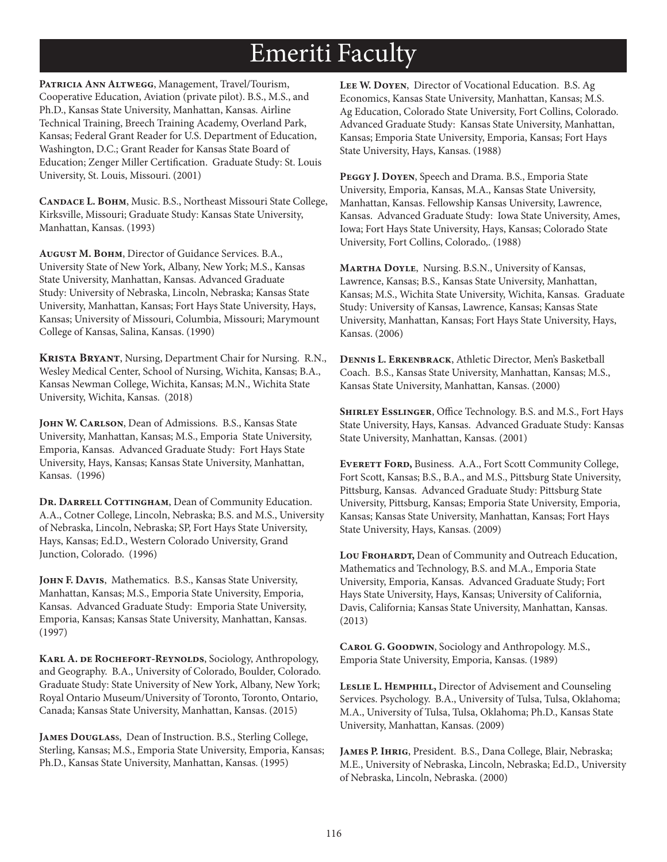# Emeriti Faculty

PATRICIA ANN ALTWEGG, Management, Travel/Tourism, Cooperative Education, Aviation (private pilot). B.S., M.S., and Ph.D., Kansas State University, Manhattan, Kansas. Airline Technical Training, Breech Training Academy, Overland Park, Kansas; Federal Grant Reader for U.S. Department of Education, Washington, D.C.; Grant Reader for Kansas State Board of Education; Zenger Miller Certification. Graduate Study: St. Louis University, St. Louis, Missouri. (2001)

CANDACE L. ВОНМ, Music. B.S., Northeast Missouri State College, Kirksville, Missouri; Graduate Study: Kansas State University, Manhattan, Kansas. (1993)

AUGUST M. BOHM, Director of Guidance Services. B.A., University State of New York, Albany, New York; M.S., Kansas State University, Manhattan, Kansas. Advanced Graduate Study: University of Nebraska, Lincoln, Nebraska; Kansas State University, Manhattan, Kansas; Fort Hays State University, Hays, Kansas; University of Missouri, Columbia, Missouri; Marymount College of Kansas, Salina, Kansas. (1990)

KRISTA BRYANT, Nursing, Department Chair for Nursing. R.N., Wesley Medical Center, School of Nursing, Wichita, Kansas; B.A., Kansas Newman College, Wichita, Kansas; M.N., Wichita State University, Wichita, Kansas. (2018)

JOHN W. CARLSON, Dean of Admissions. B.S., Kansas State University, Manhattan, Kansas; M.S., Emporia State University, Emporia, Kansas. Advanced Graduate Study: Fort Hays State University, Hays, Kansas; Kansas State University, Manhattan, Kansas. (1996)

DR. DARRELL COTTINGHAM, Dean of Community Education. A.A., Cotner College, Lincoln, Nebraska; B.S. and M.S., University of Nebraska, Lincoln, Nebraska; SP, Fort Hays State University, Hays, Kansas; Ed.D., Western Colorado University, Grand Junction, Colorado. (1996)

JOHN F. DAVIS, Mathematics. B.S., Kansas State University, Manhattan, Kansas; M.S., Emporia State University, Emporia, Kansas. Advanced Graduate Study: Emporia State University, Emporia, Kansas; Kansas State University, Manhattan, Kansas.  $(1997)$ 

KARL A. DE ROCHEFORT-REYNOLDS, Sociology, Anthropology, and Geography. B.A., University of Colorado, Boulder, Colorado. Graduate Study: State University of New York, Albany, New York; Royal Ontario Museum/University of Toronto, Toronto, Ontario, Canada; Kansas State University, Manhattan, Kansas. (2015)

JAMES DOUGLASS, Dean of Instruction. B.S., Sterling College, Sterling, Kansas; M.S., Emporia State University, Emporia, Kansas; Ph.D., Kansas State University, Manhattan, Kansas. (1995)

LEE W. DOYEN, Director of Vocational Education. B.S. Ag Economics, Kansas State University, Manhattan, Kansas; M.S. Ag Education, Colorado State University, Fort Collins, Colorado. Advanced Graduate Study: Kansas State University, Manhattan, Kansas; Emporia State University, Emporia, Kansas; Fort Hays State University, Hays, Kansas. (1988)

PEGGY J. DOYEN, Speech and Drama. B.S., Emporia State University, Emporia, Kansas, M.A., Kansas State University, Manhattan, Kansas. Fellowship Kansas University, Lawrence, Kansas. Advanced Graduate Study: Iowa State University, Ames, Iowa; Fort Hays State University, Hays, Kansas; Colorado State University, Fort Collins, Colorado,. (1988)

MARTHA DOYLE, Nursing. B.S.N., University of Kansas, Lawrence, Kansas; B.S., Kansas State University, Manhattan, Kansas; M.S., Wichita State University, Wichita, Kansas. Graduate Study: University of Kansas, Lawrence, Kansas; Kansas State University, Manhattan, Kansas; Fort Hays State University, Hays, Kansas. (2006)

DENNIS L. ERKENBRACK, Athletic Director, Men's Basketball Coach. B.S., Kansas State University, Manhattan, Kansas; M.S., Kansas State University, Manhattan, Kansas. (2000)

SHIRLEY ESSLINGER, Office Technology. B.S. and M.S., Fort Hays State University, Hays, Kansas. Advanced Graduate Study: Kansas State University, Manhattan, Kansas. (2001)

EVERETT FORD, Business. A.A., Fort Scott Community College, Fort Scott, Kansas; B.S., B.A., and M.S., Pittsburg State University, Pittsburg, Kansas. Advanced Graduate Study: Pittsburg State University, Pittsburg, Kansas; Emporia State University, Emporia, Kansas; Kansas State University, Manhattan, Kansas; Fort Hays State University, Hays, Kansas. (2009)

LOU FROHARDT, Dean of Community and Outreach Education, Mathematics and Technology, B.S. and M.A., Emporia State University, Emporia, Kansas. Advanced Graduate Study; Fort Hays State University, Hays, Kansas; University of California, Davis, California; Kansas State University, Manhattan, Kansas.  $(2013)$ 

CAROL G. GOODWIN, Sociology and Anthropology. M.S., Emporia State University, Emporia, Kansas. (1989)

LESLIE L. HEMPHILL, Director of Advisement and Counseling Services. Psychology. B.A., University of Tulsa, Tulsa, Oklahoma; M.A., University of Tulsa, Tulsa, Oklahoma; Ph.D., Kansas State University, Manhattan, Kansas. (2009)

JAMES P. IHRIG, President. B.S., Dana College, Blair, Nebraska; M.E., University of Nebraska, Lincoln, Nebraska; Ed.D., University of Nebraska, Lincoln, Nebraska. (2000)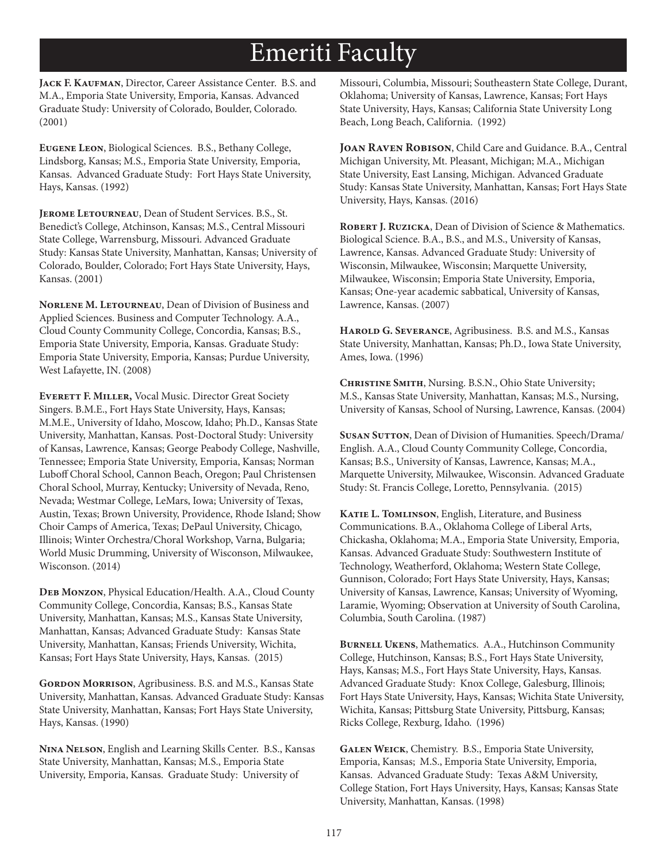### Emeriti Faculty

**Jack F. Kaufman**, Director, Career Assistance Center. B.S. and M.A., Emporia State University, Emporia, Kansas. Advanced Graduate Study: University of Colorado, Boulder, Colorado. (2001)

**Eugene Leon**, Biological Sciences. B.S., Bethany College, Lindsborg, Kansas; M.S., Emporia State University, Emporia, Kansas. Advanced Graduate Study: Fort Hays State University, Hays, Kansas. (1992)

**Jerome Letourneau**, Dean of Student Services. B.S., St. Benedict's College, Atchinson, Kansas; M.S., Central Missouri State College, Warrensburg, Missouri. Advanced Graduate Study: Kansas State University, Manhattan, Kansas; University of Colorado, Boulder, Colorado; Fort Hays State University, Hays, Kansas. (2001)

**Norlene M. Letourneau**, Dean of Division of Business and Applied Sciences. Business and Computer Technology. A.A., Cloud County Community College, Concordia, Kansas; B.S., Emporia State University, Emporia, Kansas. Graduate Study: Emporia State University, Emporia, Kansas; Purdue University, West Lafayette, IN. (2008)

**Everett F. Miller,** Vocal Music. Director Great Society Singers. B.M.E., Fort Hays State University, Hays, Kansas; M.M.E., University of Idaho, Moscow, Idaho; Ph.D., Kansas State University, Manhattan, Kansas. Post-Doctoral Study: University of Kansas, Lawrence, Kansas; George Peabody College, Nashville, Tennessee; Emporia State University, Emporia, Kansas; Norman Luboff Choral School, Cannon Beach, Oregon; Paul Christensen Choral School, Murray, Kentucky; University of Nevada, Reno, Nevada; Westmar College, LeMars, Iowa; University of Texas, Austin, Texas; Brown University, Providence, Rhode Island; Show Choir Camps of America, Texas; DePaul University, Chicago, Illinois; Winter Orchestra/Choral Workshop, Varna, Bulgaria; World Music Drumming, University of Wisconson, Milwaukee, Wisconson. (2014)

**Deb Monzon**, Physical Education/Health. A.A., Cloud County Community College, Concordia, Kansas; B.S., Kansas State University, Manhattan, Kansas; M.S., Kansas State University, Manhattan, Kansas; Advanced Graduate Study: Kansas State University, Manhattan, Kansas; Friends University, Wichita, Kansas; Fort Hays State University, Hays, Kansas. (2015)

**Gordon Morrison**, Agribusiness. B.S. and M.S., Kansas State University, Manhattan, Kansas. Advanced Graduate Study: Kansas State University, Manhattan, Kansas; Fort Hays State University, Hays, Kansas. (1990)

**Nina Nelson**, English and Learning Skills Center. B.S., Kansas State University, Manhattan, Kansas; M.S., Emporia State University, Emporia, Kansas. Graduate Study: University of

Missouri, Columbia, Missouri; Southeastern State College, Durant, Oklahoma; University of Kansas, Lawrence, Kansas; Fort Hays State University, Hays, Kansas; California State University Long Beach, Long Beach, California. (1992)

**Joan Raven Robison**, Child Care and Guidance. B.A., Central Michigan University, Mt. Pleasant, Michigan; M.A., Michigan State University, East Lansing, Michigan. Advanced Graduate Study: Kansas State University, Manhattan, Kansas; Fort Hays State University, Hays, Kansas. (2016)

**Robert J. Ruzicka**, Dean of Division of Science & Mathematics. Biological Science. B.A., B.S., and M.S., University of Kansas, Lawrence, Kansas. Advanced Graduate Study: University of Wisconsin, Milwaukee, Wisconsin; Marquette University, Milwaukee, Wisconsin; Emporia State University, Emporia, Kansas; One-year academic sabbatical, University of Kansas, Lawrence, Kansas. (2007)

**Harold G. Severance**, Agribusiness. B.S. and M.S., Kansas State University, Manhattan, Kansas; Ph.D., Iowa State University, Ames, Iowa. (1996)

**Christine Smith**, Nursing. B.S.N., Ohio State University; M.S., Kansas State University, Manhattan, Kansas; M.S., Nursing, University of Kansas, School of Nursing, Lawrence, Kansas. (2004)

**Susan Sutton**, Dean of Division of Humanities. Speech/Drama/ English. A.A., Cloud County Community College, Concordia, Kansas; B.S., University of Kansas, Lawrence, Kansas; M.A., Marquette University, Milwaukee, Wisconsin. Advanced Graduate Study: St. Francis College, Loretto, Pennsylvania. (2015)

**Katie L. Tomlinson**, English, Literature, and Business Communications. B.A., Oklahoma College of Liberal Arts, Chickasha, Oklahoma; M.A., Emporia State University, Emporia, Kansas. Advanced Graduate Study: Southwestern Institute of Technology, Weatherford, Oklahoma; Western State College, Gunnison, Colorado; Fort Hays State University, Hays, Kansas; University of Kansas, Lawrence, Kansas; University of Wyoming, Laramie, Wyoming; Observation at University of South Carolina, Columbia, South Carolina. (1987)

**Burnell Ukens**, Mathematics. A.A., Hutchinson Community College, Hutchinson, Kansas; B.S., Fort Hays State University, Hays, Kansas; M.S., Fort Hays State University, Hays, Kansas. Advanced Graduate Study: Knox College, Galesburg, Illinois; Fort Hays State University, Hays, Kansas; Wichita State University, Wichita, Kansas; Pittsburg State University, Pittsburg, Kansas; Ricks College, Rexburg, Idaho. (1996)

**Galen Weick**, Chemistry. B.S., Emporia State University, Emporia, Kansas; M.S., Emporia State University, Emporia, Kansas. Advanced Graduate Study: Texas A&M University, College Station, Fort Hays University, Hays, Kansas; Kansas State University, Manhattan, Kansas. (1998)